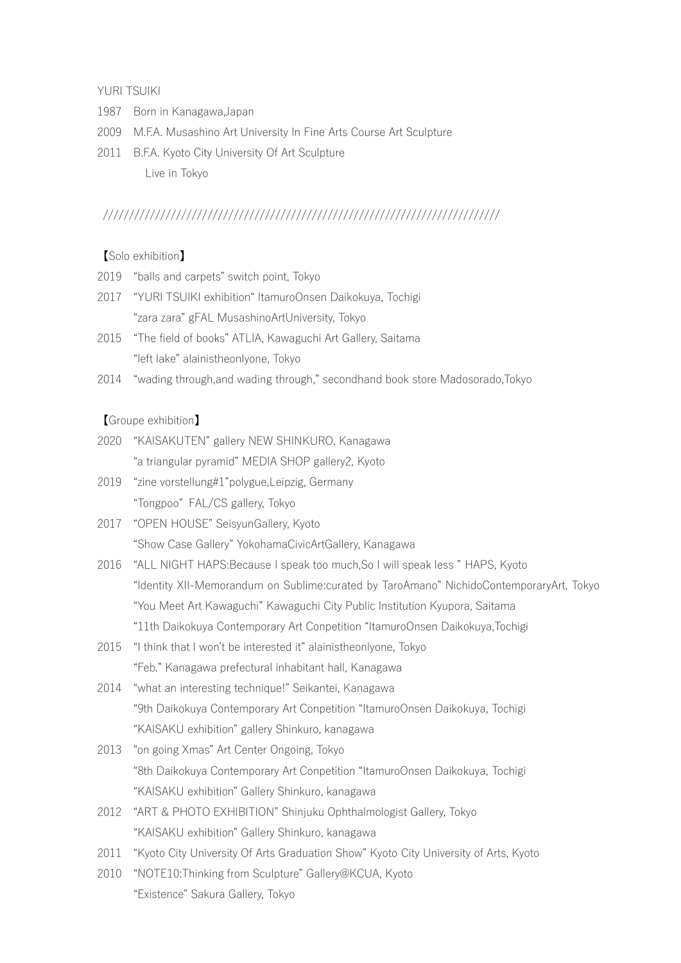YURI TSUIKI

- 1987 Born in Kanagawa,Japan
- 2009 M.F.A. Musashino Art University In Fine Arts Course Art Sculpture
- 2011 B.F.A. Kyoto City University Of Art Sculpture Live in Tokyo

## ////////////////////////////////////////////////////////////////////////////

【Solo exhibition】

- 2019 "balls and carpets" switch point, Tokyo
- 2017 "YURI TSUIKI exhibition" ItamuroOnsen Daikokuya, Tochigi "zara zara" gFAL MusashinoArtUniversity, Tokyo
- 2015 "The field of books" ATLIA, Kawaguchi Art Gallery, Saitama "left lake" alainistheonlyone, Tokyo
- 2014 "wading through,and wading through," secondhand book store Madosorado,Tokyo

【Groupe exhibition】

- 2020 "KAISAKUTEN" gallery NEW SHINKURO, Kanagawa "a triangular pyramid" MEDIA SHOP gallery2, Kyoto
- 2019 "zine vorstellung#1"polygue,Leipzig, Germany "Tongpoo" FAL/CS gallery, Tokyo
- 2017 "OPEN HOUSE" SeisyunGallery, Kyoto "Show Case Gallery" YokohamaCivicArtGallery, Kanagawa
- 2016 "ALL NIGHT HAPS:Because I speak too much,So I will speak less " HAPS, Kyoto "Identity XII-Memorandum on Sublime:curated by TaroAmano" NichidoContemporaryArt, Tokyo "You Meet Art Kawaguchi" Kawaguchi City Public Institution Kyupora, Saitama "11th Daikokuya Contemporary Art Conpetition "ItamuroOnsen Daikokuya,Tochigi
- 2015 "I think that I won't be interested it" alainistheonlyone, Tokyo "Feb." Kanagawa prefectural inhabitant hall, Kanagawa
- 2014 "what an interesting technique!" Seikantei, Kanagawa "9th Daikokuya Contemporary Art Conpetition "ItamuroOnsen Daikokuya, Tochigi "KAISAKU exhibition" gallery Shinkuro, kanagawa
- 2013 "on going Xmas" Art Center Ongoing, Tokyo "8th Daikokuya Contemporary Art Conpetition "ItamuroOnsen Daikokuya, Tochigi "KAISAKU exhibition" Gallery Shinkuro, kanagawa
- 2012 "ART & PHOTO EXHIBITION" Shinjuku Ophthalmologist Gallery, Tokyo "KAISAKU exhibition" Gallery Shinkuro, kanagawa
- 2011 "Kyoto City University Of Arts Graduation Show" Kyoto City University of Arts, Kyoto
- 2010 "NOTE10:Thinking from Sculpture" Gallery@KCUA, Kyoto "Existence" Sakura Gallery, Tokyo